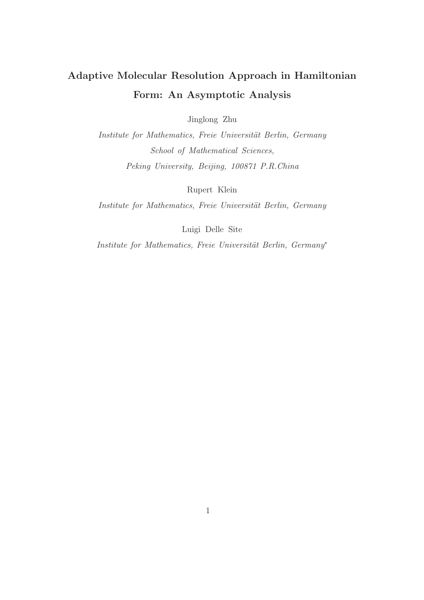# Adaptive Molecular Resolution Approach in Hamiltonian Form: An Asymptotic Analysis

Jinglong Zhu

Institute for Mathematics, Freie Universität Berlin, Germany School of Mathematical Sciences, Peking University, Beijing, 100871 P.R.China

Rupert Klein

Institute for Mathematics, Freie Universität Berlin, Germany

Luigi Delle Site

Institute for Mathematics, Freie Universität Berlin, Germany<sup>∗</sup>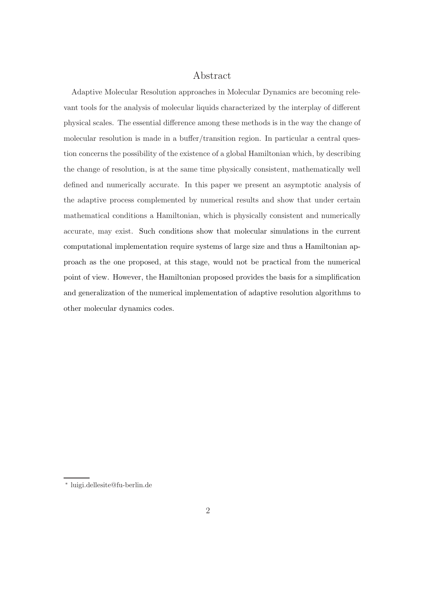### Abstract

Adaptive Molecular Resolution approaches in Molecular Dynamics are becoming relevant tools for the analysis of molecular liquids characterized by the interplay of different physical scales. The essential difference among these methods is in the way the change of molecular resolution is made in a buffer/transition region. In particular a central question concerns the possibility of the existence of a global Hamiltonian which, by describing the change of resolution, is at the same time physically consistent, mathematically well defined and numerically accurate. In this paper we present an asymptotic analysis of the adaptive process complemented by numerical results and show that under certain mathematical conditions a Hamiltonian, which is physically consistent and numerically accurate, may exist. Such conditions show that molecular simulations in the current computational implementation require systems of large size and thus a Hamiltonian approach as the one proposed, at this stage, would not be practical from the numerical point of view. However, the Hamiltonian proposed provides the basis for a simplification and generalization of the numerical implementation of adaptive resolution algorithms to other molecular dynamics codes.

<sup>∗</sup> luigi.dellesite@fu-berlin.de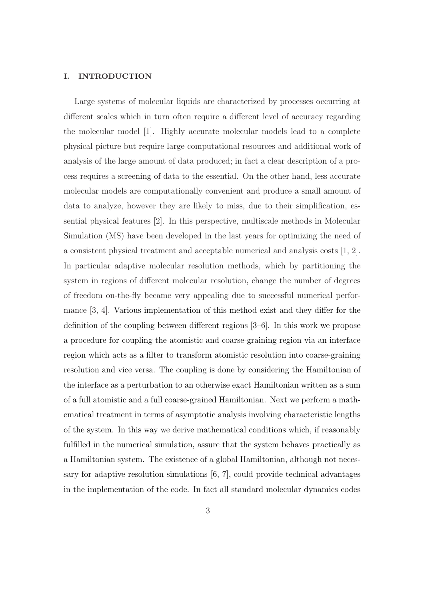#### I. INTRODUCTION

Large systems of molecular liquids are characterized by processes occurring at different scales which in turn often require a different level of accuracy regarding the molecular model [1]. Highly accurate molecular models lead to a complete physical picture but require large computational resources and additional work of analysis of the large amount of data produced; in fact a clear description of a process requires a screening of data to the essential. On the other hand, less accurate molecular models are computationally convenient and produce a small amount of data to analyze, however they are likely to miss, due to their simplification, essential physical features [2]. In this perspective, multiscale methods in Molecular Simulation (MS) have been developed in the last years for optimizing the need of a consistent physical treatment and acceptable numerical and analysis costs [1, 2]. In particular adaptive molecular resolution methods, which by partitioning the system in regions of different molecular resolution, change the number of degrees of freedom on-the-fly became very appealing due to successful numerical performance [3, 4]. Various implementation of this method exist and they differ for the definition of the coupling between different regions [3–6]. In this work we propose a procedure for coupling the atomistic and coarse-graining region via an interface region which acts as a filter to transform atomistic resolution into coarse-graining resolution and vice versa. The coupling is done by considering the Hamiltonian of the interface as a perturbation to an otherwise exact Hamiltonian written as a sum of a full atomistic and a full coarse-grained Hamiltonian. Next we perform a mathematical treatment in terms of asymptotic analysis involving characteristic lengths of the system. In this way we derive mathematical conditions which, if reasonably fulfilled in the numerical simulation, assure that the system behaves practically as a Hamiltonian system. The existence of a global Hamiltonian, although not necessary for adaptive resolution simulations [6, 7], could provide technical advantages in the implementation of the code. In fact all standard molecular dynamics codes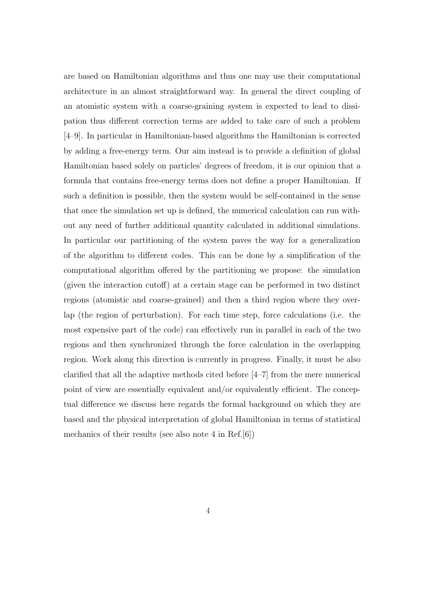are based on Hamiltonian algorithms and thus one may use their computational architecture in an almost straightforward way. In general the direct coupling of an atomistic system with a coarse-graining system is expected to lead to dissipation thus different correction terms are added to take care of such a problem [4–9]. In particular in Hamiltonian-based algorithms the Hamiltonian is corrected by adding a free-energy term. Our aim instead is to provide a definition of global Hamiltonian based solely on particles' degrees of freedom, it is our opinion that a formula that contains free-energy terms does not define a proper Hamiltonian. If such a definition is possible, then the system would be self-contained in the sense that once the simulation set up is defined, the numerical calculation can run without any need of further additional quantity calculated in additional simulations. In particular our partitioning of the system paves the way for a generalization of the algorithm to different codes. This can be done by a simplification of the computational algorithm offered by the partitioning we propose: the simulation (given the interaction cutoff) at a certain stage can be performed in two distinct regions (atomistic and coarse-grained) and then a third region where they overlap (the region of perturbation). For each time step, force calculations (i.e. the most expensive part of the code) can effectively run in parallel in each of the two regions and then synchronized through the force calculation in the overlapping region. Work along this direction is currently in progress. Finally, it must be also clarified that all the adaptive methods cited before [4–7] from the mere numerical point of view are essentially equivalent and/or equivalently efficient. The conceptual difference we discuss here regards the formal background on which they are based and the physical interpretation of global Hamiltonian in terms of statistical mechanics of their results (see also note 4 in Ref.[6])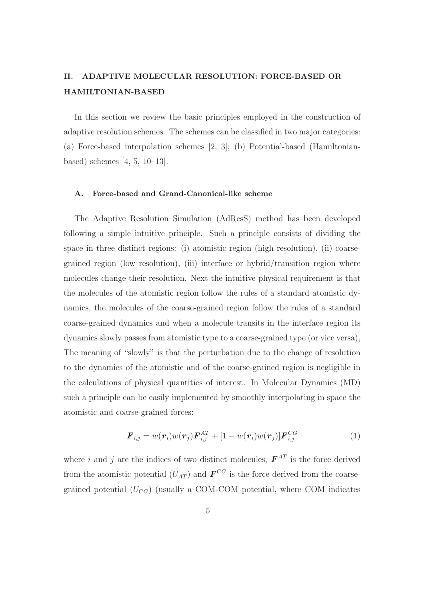### II. ADAPTIVE MOLECULAR RESOLUTION: FORCE-BASED OR HAMILTONIAN-BASED

In this section we review the basic principles employed in the construction of adaptive resolution schemes. The schemes can be classified in two major categories: (a) Force-based interpolation schemes [2, 3]; (b) Potential-based (Hamiltonianbased) schemes [4, 5, 10–13].

#### A. Force-based and Grand-Canonical-like scheme

The Adaptive Resolution Simulation (AdResS) method has been developed following a simple intuitive principle. Such a principle consists of dividing the space in three distinct regions: (i) atomistic region (high resolution), (ii) coarsegrained region (low resolution), (iii) interface or hybrid/transition region where molecules change their resolution. Next the intuitive physical requirement is that the molecules of the atomistic region follow the rules of a standard atomistic dynamics, the molecules of the coarse-grained region follow the rules of a standard coarse-grained dynamics and when a molecule transits in the interface region its dynamics slowly passes from atomistic type to a coarse-grained type (or vice versa), The meaning of "slowly" is that the perturbation due to the change of resolution to the dynamics of the atomistic and of the coarse-grained region is negligible in the calculations of physical quantities of interest. In Molecular Dynamics (MD) such a principle can be easily implemented by smoothly interpolating in space the atomistic and coarse-grained forces:

$$
\boldsymbol{F}_{i,j} = w(\boldsymbol{r}_i)w(\boldsymbol{r}_j)\boldsymbol{F}_{i,j}^{AT} + [1 - w(\boldsymbol{r}_i)w(\boldsymbol{r}_j)]\boldsymbol{F}_{i,j}^{CG}
$$
\n(1)

where i and j are the indices of two distinct molecules,  $\boldsymbol{F}^{AT}$  is the force derived from the atomistic potential  $(U_{AT})$  and  $\boldsymbol{F}^{CG}$  is the force derived from the coarsegrained potential  $(U_{CG})$  (usually a COM-COM potential, where COM indicates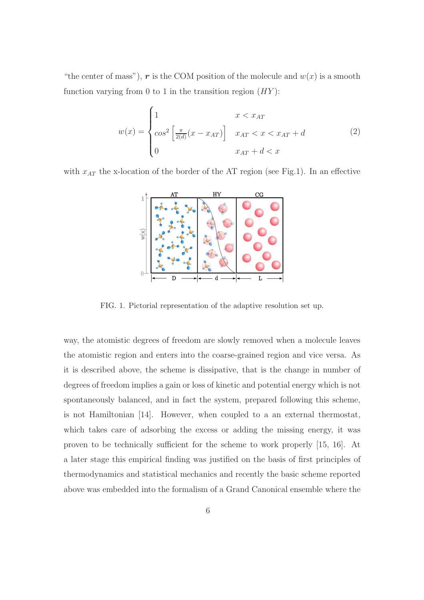"the center of mass"), r is the COM position of the molecule and  $w(x)$  is a smooth function varying from 0 to 1 in the transition region  $(HY)$ :

$$
w(x) = \begin{cases} 1 & x < x_{AT} \\ cos^2\left[\frac{\pi}{2(d)}(x - x_{AT})\right] & x_{AT} < x < x_{AT} + d \\ 0 & x_{AT} + d < x \end{cases}
$$
(2)

with  $x_{AT}$  the x-location of the border of the AT region (see Fig.1). In an effective



FIG. 1. Pictorial representation of the adaptive resolution set up.

way, the atomistic degrees of freedom are slowly removed when a molecule leaves the atomistic region and enters into the coarse-grained region and vice versa. As it is described above, the scheme is dissipative, that is the change in number of degrees of freedom implies a gain or loss of kinetic and potential energy which is not spontaneously balanced, and in fact the system, prepared following this scheme, is not Hamiltonian [14]. However, when coupled to a an external thermostat, which takes care of adsorbing the excess or adding the missing energy, it was proven to be technically sufficient for the scheme to work properly [15, 16]. At a later stage this empirical finding was justified on the basis of first principles of thermodynamics and statistical mechanics and recently the basic scheme reported above was embedded into the formalism of a Grand Canonical ensemble where the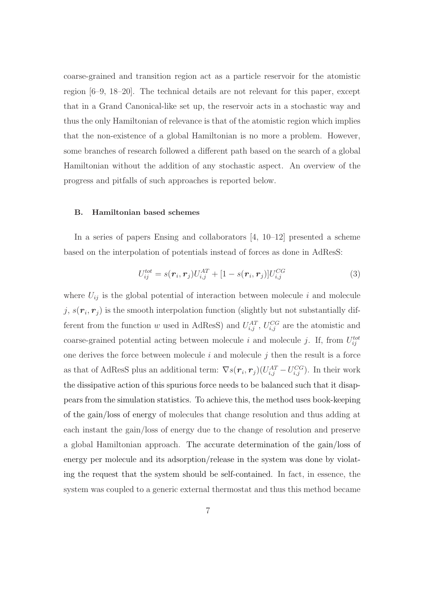coarse-grained and transition region act as a particle reservoir for the atomistic region [6–9, 18–20]. The technical details are not relevant for this paper, except that in a Grand Canonical-like set up, the reservoir acts in a stochastic way and thus the only Hamiltonian of relevance is that of the atomistic region which implies that the non-existence of a global Hamiltonian is no more a problem. However, some branches of research followed a different path based on the search of a global Hamiltonian without the addition of any stochastic aspect. An overview of the progress and pitfalls of such approaches is reported below.

#### B. Hamiltonian based schemes

In a series of papers Ensing and collaborators  $[4, 10-12]$  presented a scheme based on the interpolation of potentials instead of forces as done in AdResS:

$$
U_{ij}^{tot} = s(\mathbf{r}_i, \mathbf{r}_j) U_{i,j}^{AT} + [1 - s(\mathbf{r}_i, \mathbf{r}_j)] U_{i,j}^{CG}
$$
(3)

where  $U_{ij}$  is the global potential of interaction between molecule i and molecule j,  $s(\mathbf{r}_i, \mathbf{r}_j)$  is the smooth interpolation function (slightly but not substantially different from the function w used in AdResS) and  $U_{i,j}^{AT}$ ,  $U_{i,j}^{CG}$  are the atomistic and coarse-grained potential acting between molecule i and molecule j. If, from  $U_{ij}^{tot}$ one derives the force between molecule  $i$  and molecule  $j$  then the result is a force as that of AdResS plus an additional term:  $\nabla s(\mathbf{r}_i, \mathbf{r}_j)(U_{i,j}^{AT} - U_{i,j}^{CG})$ . In their work the dissipative action of this spurious force needs to be balanced such that it disappears from the simulation statistics. To achieve this, the method uses book-keeping of the gain/loss of energy of molecules that change resolution and thus adding at each instant the gain/loss of energy due to the change of resolution and preserve a global Hamiltonian approach. The accurate determination of the gain/loss of energy per molecule and its adsorption/release in the system was done by violating the request that the system should be self-contained. In fact, in essence, the system was coupled to a generic external thermostat and thus this method became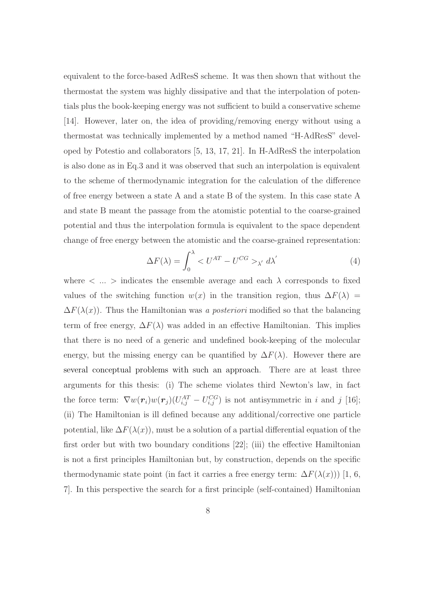equivalent to the force-based AdResS scheme. It was then shown that without the thermostat the system was highly dissipative and that the interpolation of potentials plus the book-keeping energy was not sufficient to build a conservative scheme [14]. However, later on, the idea of providing/removing energy without using a thermostat was technically implemented by a method named "H-AdResS" developed by Potestio and collaborators [5, 13, 17, 21]. In H-AdResS the interpolation is also done as in Eq.3 and it was observed that such an interpolation is equivalent to the scheme of thermodynamic integration for the calculation of the difference of free energy between a state A and a state B of the system. In this case state A and state B meant the passage from the atomistic potential to the coarse-grained potential and thus the interpolation formula is equivalent to the space dependent change of free energy between the atomistic and the coarse-grained representation:

$$
\Delta F(\lambda) = \int_0^{\lambda} < U^{AT} - U^{CG} >_{\lambda'} d\lambda' \tag{4}
$$

where  $\langle \dots \rangle$  indicates the ensemble average and each  $\lambda$  corresponds to fixed values of the switching function  $w(x)$  in the transition region, thus  $\Delta F(\lambda)$  =  $\Delta F(\lambda(x))$ . Thus the Hamiltonian was a posteriori modified so that the balancing term of free energy,  $\Delta F(\lambda)$  was added in an effective Hamiltonian. This implies that there is no need of a generic and undefined book-keeping of the molecular energy, but the missing energy can be quantified by  $\Delta F(\lambda)$ . However there are several conceptual problems with such an approach. There are at least three arguments for this thesis: (i) The scheme violates third Newton's law, in fact the force term:  $\nabla w(\mathbf{r}_i) w(\mathbf{r}_j) (U_{i,j}^{AT} - U_{i,j}^{CG})$  is not antisymmetric in i and j [16]; (ii) The Hamiltonian is ill defined because any additional/corrective one particle potential, like  $\Delta F(\lambda(x))$ , must be a solution of a partial differential equation of the first order but with two boundary conditions [22]; (iii) the effective Hamiltonian is not a first principles Hamiltonian but, by construction, depends on the specific thermodynamic state point (in fact it carries a free energy term:  $\Delta F(\lambda(x))$ ) [1, 6, 7]. In this perspective the search for a first principle (self-contained) Hamiltonian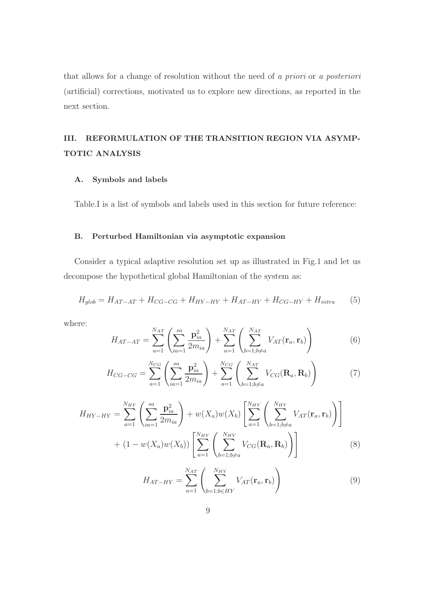that allows for a change of resolution without the need of a priori or a posteriori (artificial) corrections, motivated us to explore new directions, as reported in the next section.

## III. REFORMULATION OF THE TRANSITION REGION VIA ASYMP-TOTIC ANALYSIS

#### A. Symbols and labels

Table.I is a list of symbols and labels used in this section for future reference:

#### B. Perturbed Hamiltonian via asymptotic expansion

Consider a typical adaptive resolution set up as illustrated in Fig.1 and let us decompose the hypothetical global Hamiltonian of the system as:

$$
H_{glob} = H_{AT-AT} + H_{CG-CG} + H_{HY-HY} + H_{AT-HY} + H_{CG-HY} + H_{intra}
$$
 (5)

where:

$$
H_{AT-AT} = \sum_{a=1}^{N_{AT}} \left( \sum_{ia=1}^{sa} \frac{\mathbf{p}_{ia}^2}{2m_{ia}} \right) + \sum_{a=1}^{N_{AT}} \left( \sum_{b=1;b \neq a}^{N_{AT}} V_{AT}(\mathbf{r}_a, \mathbf{r}_b) \right)
$$
(6)

$$
H_{CG-CG} = \sum_{a=1}^{N_{CG}} \left( \sum_{ia=1}^{sa} \frac{\mathbf{p}_{ia}^2}{2m_{ia}} \right) + \sum_{a=1}^{N_{CG}} \left( \sum_{b=1;b \neq a}^{N_{AT}} V_{CG}(\mathbf{R}_a, \mathbf{R}_b) \right)
$$
(7)

$$
H_{HY-HY} = \sum_{a=1}^{N_{HY}} \left( \sum_{ia=1}^{sa} \frac{\mathbf{p}_{ia}^2}{2m_{ia}} \right) + w(X_a)w(X_b) \left[ \sum_{a=1}^{N_{HY}} \left( \sum_{b=1;b \neq a}^{N_{HY}} V_{AT}(\mathbf{r}_a, \mathbf{r}_b) \right) \right] + (1 - w(X_a)w(X_b)) \left[ \sum_{a=1}^{N_{HY}} \left( \sum_{b=1;b \neq a}^{N_{HY}} V_{CG}(\mathbf{R}_a, \mathbf{R}_b) \right) \right]
$$
(8)

$$
H_{AT-HY} = \sum_{a=1}^{N_{AT}} \left( \sum_{b=1; b \in HY}^{N_{HY}} V_{AT}(\mathbf{r}_a, \mathbf{r}_b) \right)
$$
(9)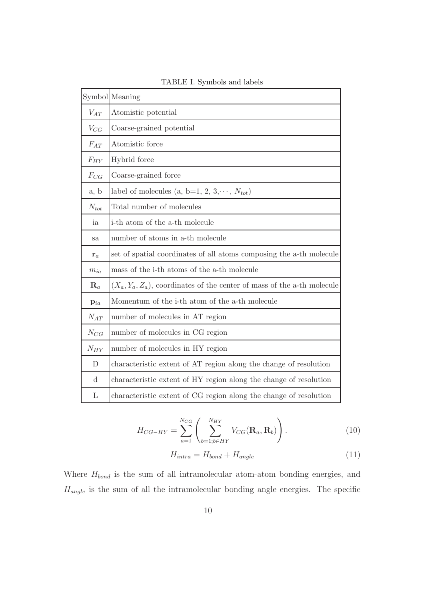|                | Symbol Meaning                                                             |  |  |  |  |
|----------------|----------------------------------------------------------------------------|--|--|--|--|
| $V_{AT}$       | Atomistic potential                                                        |  |  |  |  |
| $V_{CG}$       | Coarse-grained potential                                                   |  |  |  |  |
| $F_{AT}$       | Atomistic force                                                            |  |  |  |  |
| $F_{HY}$       | Hybrid force                                                               |  |  |  |  |
| $F_{CG}$       | Coarse-grained force                                                       |  |  |  |  |
| a, b           | label of molecules (a, b=1, 2, 3, $\cdots$ , $N_{tot}$ )                   |  |  |  |  |
| $N_{tot}$      | Total number of molecules                                                  |  |  |  |  |
| ia             | i-th atom of the a-th molecule                                             |  |  |  |  |
| sa             | number of atoms in a-th molecule                                           |  |  |  |  |
| ${\bf r}_a$    | set of spatial coordinates of all atoms composing the a-th molecule        |  |  |  |  |
| $m_{ia}$       | mass of the i-th atoms of the a-th molecule                                |  |  |  |  |
| $\mathbf{R}_a$ | $(X_a, Y_a, Z_a)$ , coordinates of the center of mass of the a-th molecule |  |  |  |  |
| $p_{ia}$       | Momentum of the i-th atom of the a-th molecule                             |  |  |  |  |
| $N_{AT}$       | number of molecules in AT region                                           |  |  |  |  |
| $N_{CG}$       | number of molecules in CG region                                           |  |  |  |  |
| $N_{HY}$       | number of molecules in HY region                                           |  |  |  |  |
| $\mathbf{D}$   | characteristic extent of AT region along the change of resolution          |  |  |  |  |
| $\mathbf d$    | characteristic extent of HY region along the change of resolution          |  |  |  |  |
| L              | characteristic extent of CG region along the change of resolution          |  |  |  |  |

TABLE I. Symbols and labels

$$
H_{CG-HY} = \sum_{a=1}^{N_{CG}} \left( \sum_{b=1; b \in HY}^{N_{HY}} V_{CG}(\mathbf{R}_a, \mathbf{R}_b) \right).
$$
 (10)

$$
H_{intra} = H_{bond} + H_{angle} \tag{11}
$$

Where  $H_{bond}$  is the sum of all intramolecular atom-atom bonding energies, and  $H_{angle}$  is the sum of all the intramolecular bonding angle energies. The specific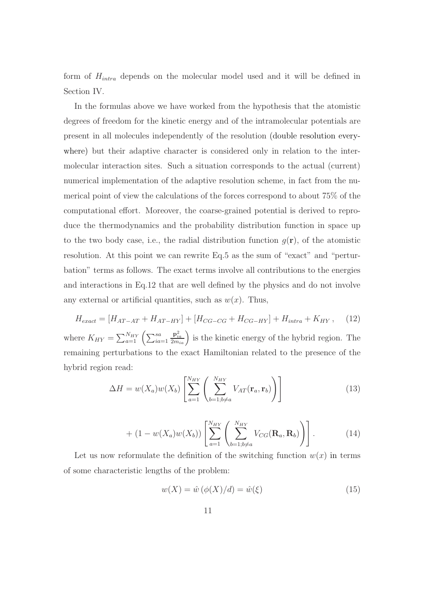form of  $H_{intra}$  depends on the molecular model used and it will be defined in Section IV.

In the formulas above we have worked from the hypothesis that the atomistic degrees of freedom for the kinetic energy and of the intramolecular potentials are present in all molecules independently of the resolution (double resolution everywhere) but their adaptive character is considered only in relation to the intermolecular interaction sites. Such a situation corresponds to the actual (current) numerical implementation of the adaptive resolution scheme, in fact from the numerical point of view the calculations of the forces correspond to about 75% of the computational effort. Moreover, the coarse-grained potential is derived to reproduce the thermodynamics and the probability distribution function in space up to the two body case, i.e., the radial distribution function  $q(\mathbf{r})$ , of the atomistic resolution. At this point we can rewrite Eq.5 as the sum of "exact" and "perturbation" terms as follows. The exact terms involve all contributions to the energies and interactions in Eq.12 that are well defined by the physics and do not involve any external or artificial quantities, such as  $w(x)$ . Thus,

 $H_{exact} = [H_{AT-AT} + H_{AT-HY}] + [H_{CG-CG} + H_{CG-HY}] + H_{intra} + K_{HY}$ , (12) where  $K_{HY} = \sum_{a=1}^{N_{HY}} \left( \sum_{ia=1}^{sa} \right)$  $\left(\frac{\mathbf{p}_{ia}^2}{2m_{ia}}\right)$  is the kinetic energy of the hybrid region. The remaining perturbations to the exact Hamiltonian related to the presence of the hybrid region read:

$$
\Delta H = w(X_a)w(X_b) \left[ \sum_{a=1}^{N_{HY}} \left( \sum_{b=1; b \neq a}^{N_{HY}} V_{AT}(\mathbf{r}_a, \mathbf{r}_b) \right) \right]
$$
(13)

$$
+ (1 - w(X_a)w(X_b)) \left[ \sum_{a=1}^{N_{HY}} \left( \sum_{b=1, b \neq a}^{N_{HY}} V_{CG}(\mathbf{R}_a, \mathbf{R}_b) \right) \right]. \tag{14}
$$

Let us now reformulate the definition of the switching function  $w(x)$  in terms of some characteristic lengths of the problem:

$$
w(X) = \hat{w} \left( \phi(X)/d \right) = \hat{w}(\xi) \tag{15}
$$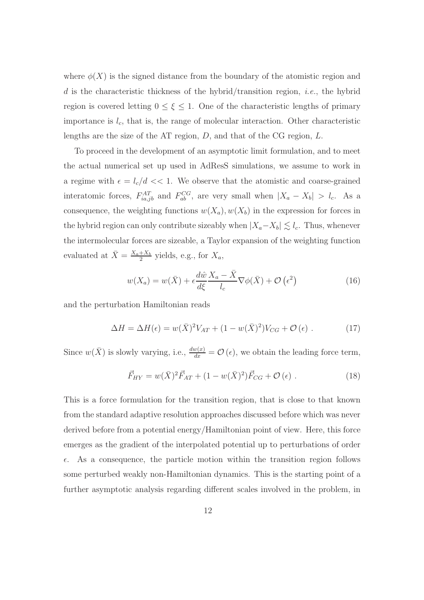where  $\phi(X)$  is the signed distance from the boundary of the atomistic region and d is the characteristic thickness of the hybrid/transition region, *i.e.*, the hybrid region is covered letting  $0 \leq \xi \leq 1$ . One of the characteristic lengths of primary importance is  $l_c$ , that is, the range of molecular interaction. Other characteristic lengths are the size of the AT region,  $D$ , and that of the CG region,  $L$ .

To proceed in the development of an asymptotic limit formulation, and to meet the actual numerical set up used in AdResS simulations, we assume to work in a regime with  $\epsilon = l_c/d \ll 1$ . We observe that the atomistic and coarse-grained interatomic forces,  $F_{ia,jb}^{AT}$  and  $F_{ab}^{CG}$ , are very small when  $|X_a - X_b| > l_c$ . As a consequence, the weighting functions  $w(X_a), w(X_b)$  in the expression for forces in the hybrid region can only contribute sizeably when  $|X_a-X_b| \lesssim l_c$ . Thus, whenever the intermolecular forces are sizeable, a Taylor expansion of the weighting function evaluated at  $\bar{X} = \frac{X_a + X_b}{2}$  $\frac{+X_b}{2}$  yields, e.g., for  $X_a$ ,

$$
w(X_a) = w(\bar{X}) + \epsilon \frac{d\hat{w}}{d\xi} \frac{X_a - \bar{X}}{l_c} \nabla \phi(\bar{X}) + \mathcal{O}\left(\epsilon^2\right)
$$
 (16)

and the perturbation Hamiltonian reads

$$
\Delta H = \Delta H(\epsilon) = w(\bar{X})^2 V_{AT} + (1 - w(\bar{X})^2) V_{CG} + \mathcal{O}(\epsilon) . \qquad (17)
$$

Since  $w(\bar{X})$  is slowly varying, i.e.,  $\frac{dw(x)}{dx} = \mathcal{O}(\epsilon)$ , we obtain the leading force term,

$$
\vec{F}_{HY} = w(\bar{X})^2 \vec{F}_{AT} + (1 - w(\bar{X})^2) \vec{F}_{CG} + \mathcal{O}(\epsilon) . \qquad (18)
$$

This is a force formulation for the transition region, that is close to that known from the standard adaptive resolution approaches discussed before which was never derived before from a potential energy/Hamiltonian point of view. Here, this force emerges as the gradient of the interpolated potential up to perturbations of order  $\epsilon$ . As a consequence, the particle motion within the transition region follows some perturbed weakly non-Hamiltonian dynamics. This is the starting point of a further asymptotic analysis regarding different scales involved in the problem, in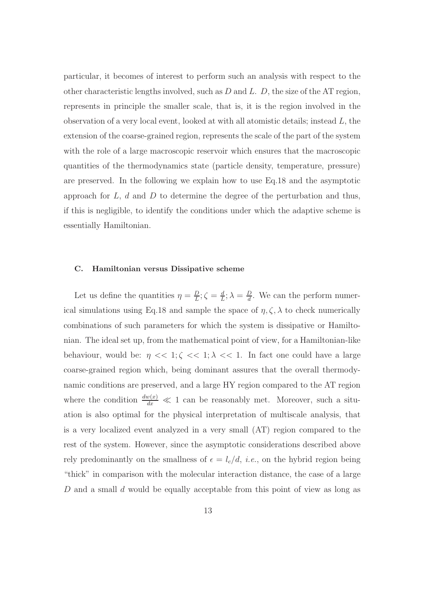particular, it becomes of interest to perform such an analysis with respect to the other characteristic lengths involved, such as  $D$  and  $L$ .  $D$ , the size of the AT region, represents in principle the smaller scale, that is, it is the region involved in the observation of a very local event, looked at with all atomistic details; instead  $L$ , the extension of the coarse-grained region, represents the scale of the part of the system with the role of a large macroscopic reservoir which ensures that the macroscopic quantities of the thermodynamics state (particle density, temperature, pressure) are preserved. In the following we explain how to use Eq.18 and the asymptotic approach for  $L, d$  and  $D$  to determine the degree of the perturbation and thus, if this is negligible, to identify the conditions under which the adaptive scheme is essentially Hamiltonian.

#### C. Hamiltonian versus Dissipative scheme

Let us define the quantities  $\eta = \frac{D}{L}$  $\frac{D}{L}$ ;  $\zeta = \frac{d}{L}$  $\frac{d}{L}$ ;  $\lambda = \frac{D}{d}$  $\frac{D}{d}$ . We can the perform numerical simulations using Eq.18 and sample the space of  $\eta, \zeta, \lambda$  to check numerically combinations of such parameters for which the system is dissipative or Hamiltonian. The ideal set up, from the mathematical point of view, for a Hamiltonian-like behaviour, would be:  $\eta \ll 1; \zeta \ll 1; \lambda \ll 1$ . In fact one could have a large coarse-grained region which, being dominant assures that the overall thermodynamic conditions are preserved, and a large HY region compared to the AT region where the condition  $\frac{dw(x)}{dx} \ll 1$  can be reasonably met. Moreover, such a situation is also optimal for the physical interpretation of multiscale analysis, that is a very localized event analyzed in a very small (AT) region compared to the rest of the system. However, since the asymptotic considerations described above rely predominantly on the smallness of  $\epsilon = l_c/d$ , *i.e.*, on the hybrid region being "thick" in comparison with the molecular interaction distance, the case of a large D and a small d would be equally acceptable from this point of view as long as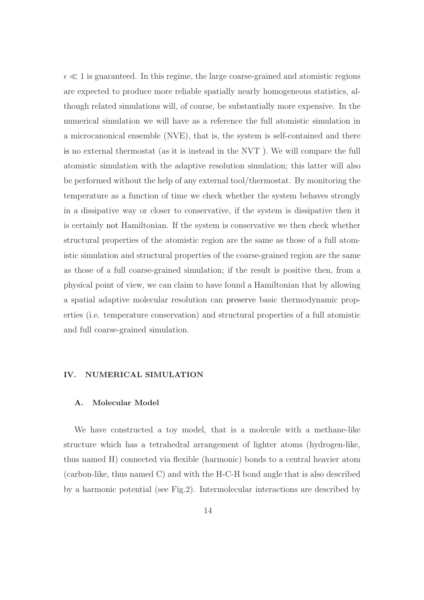$\epsilon \ll 1$  is guaranteed. In this regime, the large coarse-grained and atomistic regions are expected to produce more reliable spatially nearly homogeneous statistics, although related simulations will, of course, be substantially more expensive. In the numerical simulation we will have as a reference the full atomistic simulation in a microcanonical ensemble (NVE), that is, the system is self-contained and there is no external thermostat (as it is instead in the NVT ). We will compare the full atomistic simulation with the adaptive resolution simulation; this latter will also be performed without the help of any external tool/thermostat. By monitoring the temperature as a function of time we check whether the system behaves strongly in a dissipative way or closer to conservative, if the system is dissipative then it is certainly not Hamiltonian. If the system is conservative we then check whether structural properties of the atomistic region are the same as those of a full atomistic simulation and structural properties of the coarse-grained region are the same as those of a full coarse-grained simulation; if the result is positive then, from a physical point of view, we can claim to have found a Hamiltonian that by allowing a spatial adaptive molecular resolution can preserve basic thermodynamic properties (i.e. temperature conservation) and structural properties of a full atomistic and full coarse-grained simulation.

#### IV. NUMERICAL SIMULATION

#### A. Molecular Model

We have constructed a toy model, that is a molecule with a methane-like structure which has a tetrahedral arrangement of lighter atoms (hydrogen-like, thus named H) connected via flexible (harmonic) bonds to a central heavier atom (carbon-like, thus named C) and with the H-C-H bond angle that is also described by a harmonic potential (see Fig.2). Intermolecular interactions are described by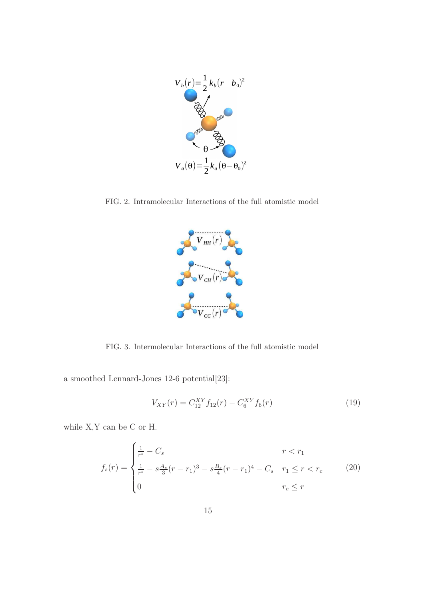

FIG. 2. Intramolecular Interactions of the full atomistic model



FIG. 3. Intermolecular Interactions of the full atomistic model

a smoothed Lennard-Jones 12-6 potential[23]:

$$
V_{XY}(r) = C_{12}^{XY} f_{12}(r) - C_6^{XY} f_6(r)
$$
\n(19)

while X,Y can be C or H.

$$
f_s(r) = \begin{cases} \frac{1}{r^s} - C_s & r < r_1\\ \frac{1}{r^s} - s\frac{A_s}{3}(r - r_1)^3 - s\frac{B_s}{4}(r - r_1)^4 - C_s & r_1 \le r < r_c\\ 0 & r_c \le r \end{cases}
$$
(20)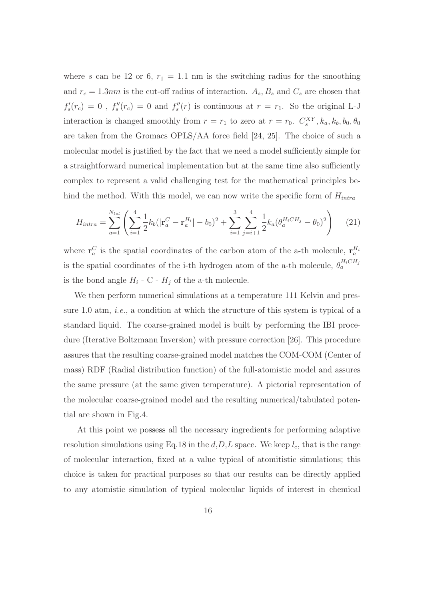where s can be 12 or 6,  $r_1 = 1.1$  nm is the switching radius for the smoothing and  $r_c = 1.3nm$  is the cut-off radius of interaction.  $A_s$ ,  $B_s$  and  $C_s$  are chosen that  $f'_s(r_c) = 0$ ,  $f''_s(r_c) = 0$  and  $f''_s(r)$  is continuous at  $r = r_1$ . So the original L-J interaction is changed smoothly from  $r = r_1$  to zero at  $r = r_0$ .  $C_s^{XY}$ ,  $k_a$ ,  $k_b$ ,  $b_0$ ,  $\theta_0$ are taken from the Gromacs OPLS/AA force field [24, 25]. The choice of such a molecular model is justified by the fact that we need a model sufficiently simple for a straightforward numerical implementation but at the same time also sufficiently complex to represent a valid challenging test for the mathematical principles behind the method. With this model, we can now write the specific form of  $H_{intra}$ 

$$
H_{intra} = \sum_{a=1}^{N_{tot}} \left( \sum_{i=1}^{4} \frac{1}{2} k_b (|\mathbf{r}_a^C - \mathbf{r}_a^{H_i}| - b_0)^2 + \sum_{i=1}^{3} \sum_{j=i+1}^{4} \frac{1}{2} k_a (\theta_a^{H_i CH_j} - \theta_0)^2 \right) \tag{21}
$$

where  $\mathbf{r}_a^C$  is the spatial coordinates of the carbon atom of the a-th molecule,  $\mathbf{r}_a^{H_i}$ is the spatial coordinates of the i-th hydrogen atom of the a-th molecule,  $\theta_a^{H_iCH_j}$ is the bond angle  $H_i$  - C -  $H_j$  of the a-th molecule.

We then perform numerical simulations at a temperature 111 Kelvin and pressure 1.0 atm, *i.e.*, a condition at which the structure of this system is typical of a standard liquid. The coarse-grained model is built by performing the IBI procedure (Iterative Boltzmann Inversion) with pressure correction [26]. This procedure assures that the resulting coarse-grained model matches the COM-COM (Center of mass) RDF (Radial distribution function) of the full-atomistic model and assures the same pressure (at the same given temperature). A pictorial representation of the molecular coarse-grained model and the resulting numerical/tabulated potential are shown in Fig.4.

At this point we possess all the necessary ingredients for performing adaptive resolution simulations using Eq.18 in the  $d, D, L$  space. We keep  $l_c$ , that is the range of molecular interaction, fixed at a value typical of atomitistic simulations; this choice is taken for practical purposes so that our results can be directly applied to any atomistic simulation of typical molecular liquids of interest in chemical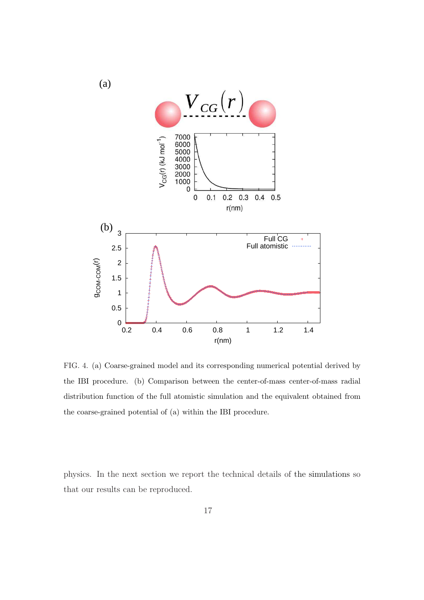

FIG. 4. (a) Coarse-grained model and its corresponding numerical potential derived by the IBI procedure. (b) Comparison between the center-of-mass center-of-mass radial distribution function of the full atomistic simulation and the equivalent obtained from the coarse-grained potential of (a) within the IBI procedure.

physics. In the next section we report the technical details of the simulations so that our results can be reproduced.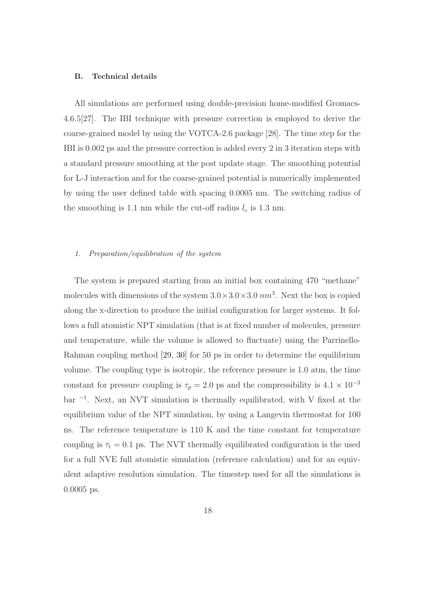#### B. Technical details

All simulations are performed using double-precision home-modified Gromacs-4.6.5[27]. The IBI technique with pressure correction is employed to derive the coarse-grained model by using the VOTCA-2.6 package [28]. The time step for the IBI is 0.002 ps and the pressure correction is added every 2 in 3 iteration steps with a standard pressure smoothing at the post update stage. The smoothing potential for L-J interaction and for the coarse-grained potential is numerically implemented by using the user defined table with spacing 0.0005 nm. The switching radius of the smoothing is 1.1 nm while the cut-off radius  $l_c$  is 1.3 nm.

#### 1. Preparation/equilibration of the system

The system is prepared starting from an initial box containing 470 "methane" molecules with dimensions of the system  $3.0 \times 3.0 \times 3.0 \text{ nm}^3$ . Next the box is copied along the x-direction to produce the initial configuration for larger systems. It follows a full atomistic NPT simulation (that is at fixed number of molecules, pressure and temperature, while the volume is allowed to fluctuate) using the Parrinello-Rahman coupling method [29, 30] for 50 ps in order to determine the equilibrium volume. The coupling type is isotropic, the reference pressure is 1.0 atm, the time constant for pressure coupling is  $\tau_p = 2.0$  ps and the compressibility is  $4.1 \times 10^{-3}$ bar <sup>−</sup><sup>1</sup> . Next, an NVT simulation is thermally equilibrated, with V fixed at the equilibrium value of the NPT simulation, by using a Langevin thermostat for 100 ns. The reference temperature is 110 K and the time constant for temperature coupling is  $\tau_t = 0.1$  ps. The NVT thermally equilibrated configuration is the used for a full NVE full atomistic simulation (reference calculation) and for an equivalent adaptive resolution simulation. The timestep used for all the simulations is 0.0005 ps.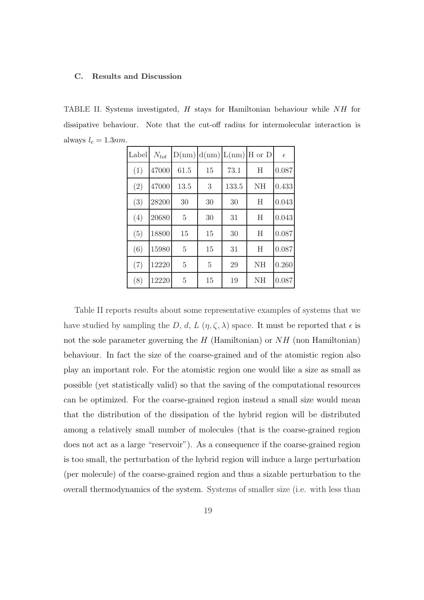#### C. Results and Discussion

TABLE II. Systems investigated, H stays for Hamiltonian behaviour while NH for dissipative behaviour. Note that the cut-off radius for intermolecular interaction is always  $l_c = 1.3nm$ .

| Label | $N_{tot}$ |                |                |       | $D(nm) d(nm) L(nm) $ H or D | $\epsilon$ |
|-------|-----------|----------------|----------------|-------|-----------------------------|------------|
| (1)   | 47000     | 61.5           | 15             | 73.1  | Η                           | 0.087      |
| (2)   | 47000     | 13.5           | 3              | 133.5 | NH                          | 0.433      |
| (3)   | 28200     | 30             | 30             | 30    | Η                           | 0.043      |
| (4)   | 20680     | 5              | 30             | 31    | Η                           | 0.043      |
| (5)   | 18800     | 15             | 15             | 30    | Η                           | 0.087      |
| (6)   | 15980     | 5              | 15             | 31    | H                           | 0.087      |
| (7)   | 12220     | $\overline{5}$ | $\overline{5}$ | 29    | NH                          | 0.260      |
| (8)   | 12220     | 5              | 15             | 19    | NH                          | 0.087      |

Table II reports results about some representative examples of systems that we have studied by sampling the D, d, L  $(\eta, \zeta, \lambda)$  space. It must be reported that  $\epsilon$  is not the sole parameter governing the  $H$  (Hamiltonian) or  $NH$  (non Hamiltonian) behaviour. In fact the size of the coarse-grained and of the atomistic region also play an important role. For the atomistic region one would like a size as small as possible (yet statistically valid) so that the saving of the computational resources can be optimized. For the coarse-grained region instead a small size would mean that the distribution of the dissipation of the hybrid region will be distributed among a relatively small number of molecules (that is the coarse-grained region does not act as a large "reservoir"). As a consequence if the coarse-grained region is too small, the perturbation of the hybrid region will induce a large perturbation (per molecule) of the coarse-grained region and thus a sizable perturbation to the overall thermodynamics of the system. Systems of smaller size (i.e. with less than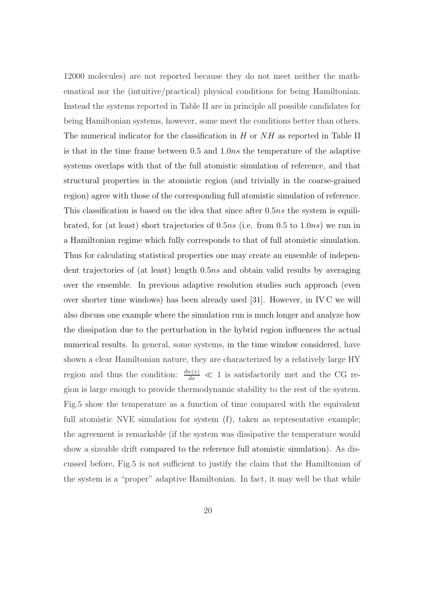12000 molecules) are not reported because they do not meet neither the mathematical nor the (intuitive/practical) physical conditions for being Hamiltonian. Instead the systems reported in Table II are in principle all possible candidates for being Hamiltonian systems, however, some meet the conditions better than others. The numerical indicator for the classification in  $H$  or  $NH$  as reported in Table II is that in the time frame between 0.5 and 1.0ns the temperature of the adaptive systems overlaps with that of the full atomistic simulation of reference, and that structural properties in the atomistic region (and trivially in the coarse-grained region) agree with those of the corresponding full atomistic simulation of reference. This classification is based on the idea that since after 0.5ns the system is equilibrated, for (at least) short trajectories of  $0.5ns$  (i.e. from  $0.5$  to  $1.0ns$ ) we run in a Hamiltonian regime which fully corresponds to that of full atomistic simulation. Thus for calculating statistical properties one may create an ensemble of independent trajectories of (at least) length 0.5ns and obtain valid results by averaging over the ensemble. In previous adaptive resolution studies such approach (even over shorter time windows) has been already used [31]. However, in IV C we will also discuss one example where the simulation run is much longer and analyze how the dissipation due to the perturbation in the hybrid region influences the actual numerical results. In general, some systems, in the time window considered, have shown a clear Hamiltonian nature, they are characterized by a relatively large HY region and thus the condition:  $\frac{dw(x)}{dx} \ll 1$  is satisfactorily met and the CG region is large enough to provide thermodynamic stability to the rest of the system. Fig.5 show the temperature as a function of time compared with the equivalent full atomistic NVE simulation for system (f), taken as representative example; the agreement is remarkable (if the system was dissipative the temperature would show a sizeable drift compared to the reference full atomistic simulation). As discussed before, Fig.5 is not sufficient to justify the claim that the Hamiltonian of the system is a "proper" adaptive Hamiltonian. In fact, it may well be that while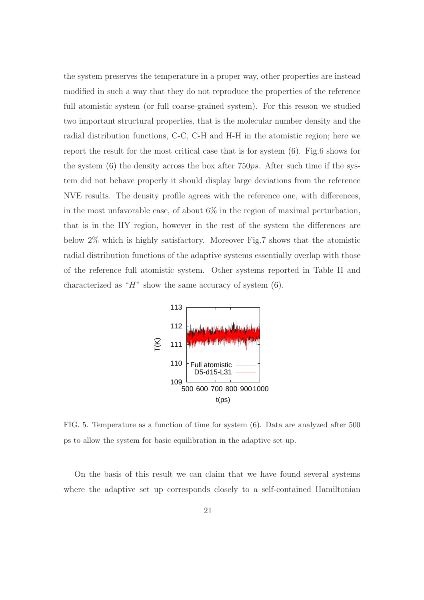the system preserves the temperature in a proper way, other properties are instead modified in such a way that they do not reproduce the properties of the reference full atomistic system (or full coarse-grained system). For this reason we studied two important structural properties, that is the molecular number density and the radial distribution functions, C-C, C-H and H-H in the atomistic region; here we report the result for the most critical case that is for system (6). Fig.6 shows for the system  $(6)$  the density across the box after 750ps. After such time if the system did not behave properly it should display large deviations from the reference NVE results. The density profile agrees with the reference one, with differences, in the most unfavorable case, of about  $6\%$  in the region of maximal perturbation, that is in the HY region, however in the rest of the system the differences are below 2% which is highly satisfactory. Moreover Fig.7 shows that the atomistic radial distribution functions of the adaptive systems essentially overlap with those of the reference full atomistic system. Other systems reported in Table II and characterized as " $H$ " show the same accuracy of system  $(6)$ .



FIG. 5. Temperature as a function of time for system (6). Data are analyzed after 500 ps to allow the system for basic equilibration in the adaptive set up.

On the basis of this result we can claim that we have found several systems where the adaptive set up corresponds closely to a self-contained Hamiltonian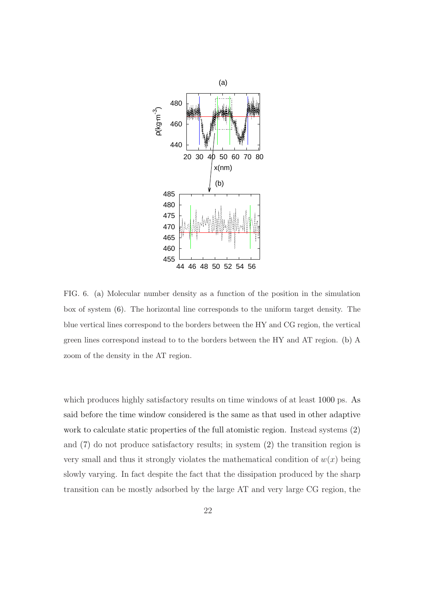

FIG. 6. (a) Molecular number density as a function of the position in the simulation box of system (6). The horizontal line corresponds to the uniform target density. The blue vertical lines correspond to the borders between the HY and CG region, the vertical green lines correspond instead to to the borders between the HY and AT region. (b) A zoom of the density in the AT region.

which produces highly satisfactory results on time windows of at least 1000 ps. As said before the time window considered is the same as that used in other adaptive work to calculate static properties of the full atomistic region. Instead systems (2) and (7) do not produce satisfactory results; in system (2) the transition region is very small and thus it strongly violates the mathematical condition of  $w(x)$  being slowly varying. In fact despite the fact that the dissipation produced by the sharp transition can be mostly adsorbed by the large AT and very large CG region, the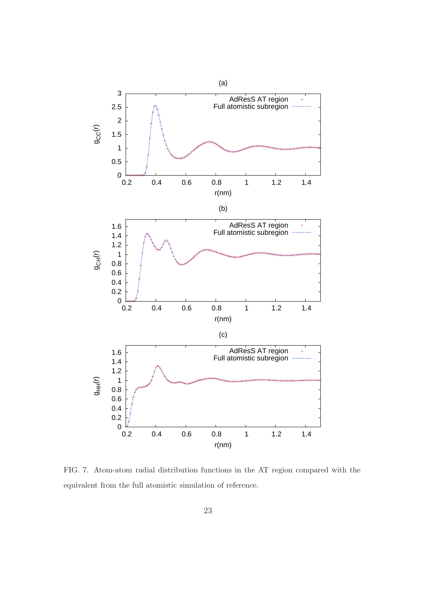

FIG. 7. Atom-atom radial distribution functions in the AT region compared with the equivalent from the full atomistic simulation of reference.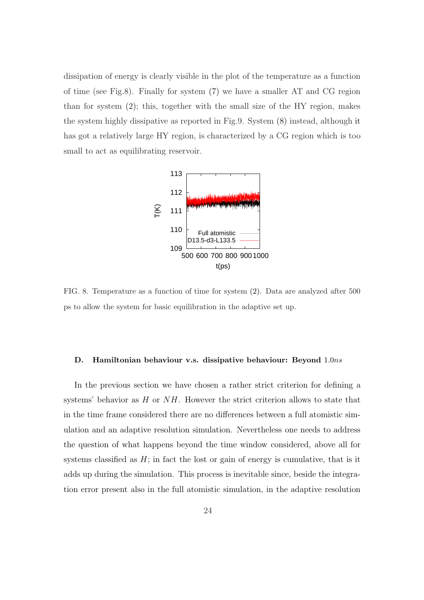dissipation of energy is clearly visible in the plot of the temperature as a function of time (see Fig.8). Finally for system (7) we have a smaller AT and CG region than for system (2); this, together with the small size of the HY region, makes the system highly dissipative as reported in Fig.9. System (8) instead, although it has got a relatively large HY region, is characterized by a CG region which is too small to act as equilibrating reservoir.



FIG. 8. Temperature as a function of time for system (2). Data are analyzed after 500 ps to allow the system for basic equilibration in the adaptive set up.

#### D. Hamiltonian behaviour v.s. dissipative behaviour: Beyond 1.0ns

In the previous section we have chosen a rather strict criterion for defining a systems' behavior as  $H$  or  $NH$ . However the strict criterion allows to state that in the time frame considered there are no differences between a full atomistic simulation and an adaptive resolution simulation. Nevertheless one needs to address the question of what happens beyond the time window considered, above all for systems classified as  $H$ ; in fact the lost or gain of energy is cumulative, that is it adds up during the simulation. This process is inevitable since, beside the integration error present also in the full atomistic simulation, in the adaptive resolution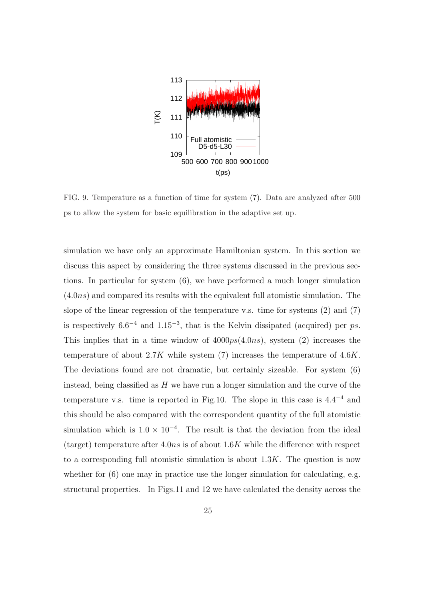

FIG. 9. Temperature as a function of time for system (7). Data are analyzed after 500 ps to allow the system for basic equilibration in the adaptive set up.

simulation we have only an approximate Hamiltonian system. In this section we discuss this aspect by considering the three systems discussed in the previous sections. In particular for system (6), we have performed a much longer simulation  $(4.0ns)$  and compared its results with the equivalent full atomistic simulation. The slope of the linear regression of the temperature v.s. time for systems (2) and (7) is respectively  $6.6^{-4}$  and  $1.15^{-3}$ , that is the Kelvin dissipated (acquired) per ps. This implies that in a time window of  $4000ps(4.0ns)$ , system (2) increases the temperature of about  $2.7K$  while system (7) increases the temperature of  $4.6K$ . The deviations found are not dramatic, but certainly sizeable. For system (6) instead, being classified as  $H$  we have run a longer simulation and the curve of the temperature v.s. time is reported in Fig.10. The slope in this case is  $4.4^{-4}$  and this should be also compared with the correspondent quantity of the full atomistic simulation which is  $1.0 \times 10^{-4}$ . The result is that the deviation from the ideal (target) temperature after  $4.0ns$  is of about  $1.6K$  while the difference with respect to a corresponding full atomistic simulation is about  $1.3K$ . The question is now whether for  $(6)$  one may in practice use the longer simulation for calculating, e.g. structural properties. In Figs.11 and 12 we have calculated the density across the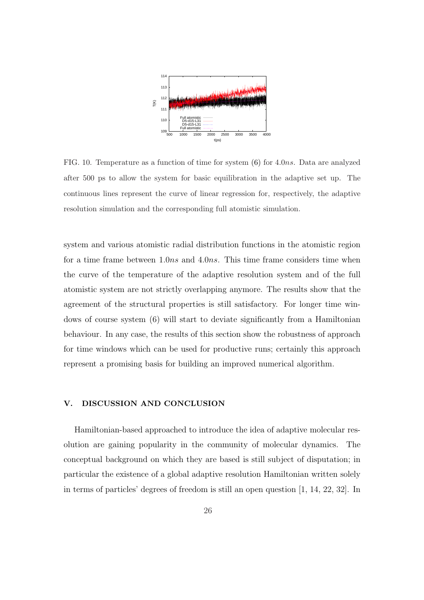

FIG. 10. Temperature as a function of time for system (6) for 4.0ns. Data are analyzed after 500 ps to allow the system for basic equilibration in the adaptive set up. The continuous lines represent the curve of linear regression for, respectively, the adaptive resolution simulation and the corresponding full atomistic simulation.

system and various atomistic radial distribution functions in the atomistic region for a time frame between 1.0ns and 4.0ns. This time frame considers time when the curve of the temperature of the adaptive resolution system and of the full atomistic system are not strictly overlapping anymore. The results show that the agreement of the structural properties is still satisfactory. For longer time windows of course system (6) will start to deviate significantly from a Hamiltonian behaviour. In any case, the results of this section show the robustness of approach for time windows which can be used for productive runs; certainly this approach represent a promising basis for building an improved numerical algorithm.

#### V. DISCUSSION AND CONCLUSION

Hamiltonian-based approached to introduce the idea of adaptive molecular resolution are gaining popularity in the community of molecular dynamics. The conceptual background on which they are based is still subject of disputation; in particular the existence of a global adaptive resolution Hamiltonian written solely in terms of particles' degrees of freedom is still an open question [1, 14, 22, 32]. In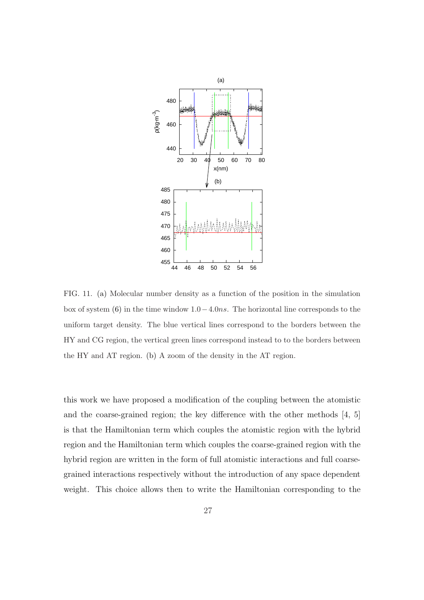

FIG. 11. (a) Molecular number density as a function of the position in the simulation box of system (6) in the time window  $1.0-4.0ns$ . The horizontal line corresponds to the uniform target density. The blue vertical lines correspond to the borders between the HY and CG region, the vertical green lines correspond instead to to the borders between the HY and AT region. (b) A zoom of the density in the AT region.

this work we have proposed a modification of the coupling between the atomistic and the coarse-grained region; the key difference with the other methods [4, 5] is that the Hamiltonian term which couples the atomistic region with the hybrid region and the Hamiltonian term which couples the coarse-grained region with the hybrid region are written in the form of full atomistic interactions and full coarsegrained interactions respectively without the introduction of any space dependent weight. This choice allows then to write the Hamiltonian corresponding to the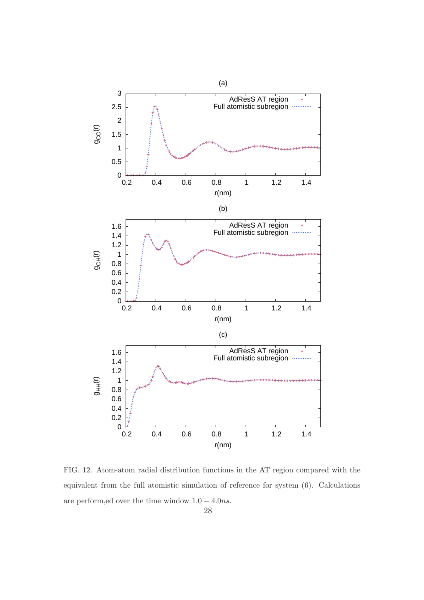

FIG. 12. Atom-atom radial distribution functions in the AT region compared with the equivalent from the full atomistic simulation of reference for system (6). Calculations are perform,ed over the time window  $1.0 - 4.0ns$ .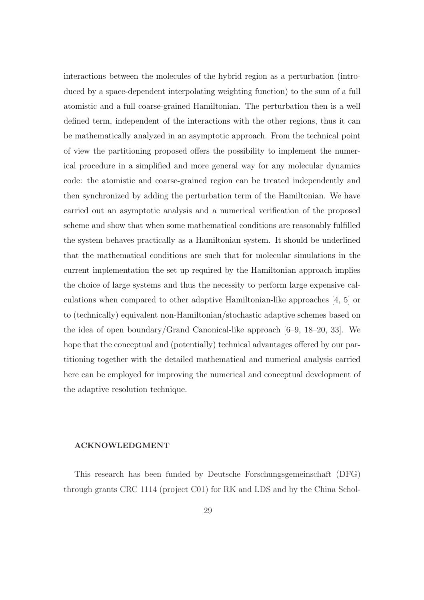interactions between the molecules of the hybrid region as a perturbation (introduced by a space-dependent interpolating weighting function) to the sum of a full atomistic and a full coarse-grained Hamiltonian. The perturbation then is a well defined term, independent of the interactions with the other regions, thus it can be mathematically analyzed in an asymptotic approach. From the technical point of view the partitioning proposed offers the possibility to implement the numerical procedure in a simplified and more general way for any molecular dynamics code: the atomistic and coarse-grained region can be treated independently and then synchronized by adding the perturbation term of the Hamiltonian. We have carried out an asymptotic analysis and a numerical verification of the proposed scheme and show that when some mathematical conditions are reasonably fulfilled the system behaves practically as a Hamiltonian system. It should be underlined that the mathematical conditions are such that for molecular simulations in the current implementation the set up required by the Hamiltonian approach implies the choice of large systems and thus the necessity to perform large expensive calculations when compared to other adaptive Hamiltonian-like approaches [4, 5] or to (technically) equivalent non-Hamiltonian/stochastic adaptive schemes based on the idea of open boundary/Grand Canonical-like approach [6–9, 18–20, 33]. We hope that the conceptual and (potentially) technical advantages offered by our partitioning together with the detailed mathematical and numerical analysis carried here can be employed for improving the numerical and conceptual development of the adaptive resolution technique.

#### ACKNOWLEDGMENT

This research has been funded by Deutsche Forschungsgemeinschaft (DFG) through grants CRC 1114 (project C01) for RK and LDS and by the China Schol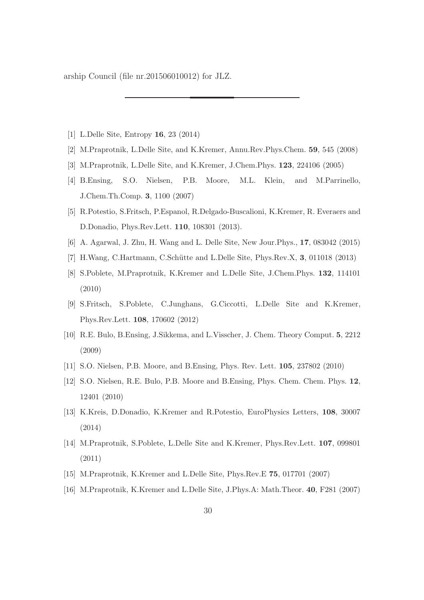arship Council (file nr.201506010012) for JLZ.

- [1] L.Delle Site, Entropy 16, 23 (2014)
- [2] M.Praprotnik, L.Delle Site, and K.Kremer, Annu.Rev.Phys.Chem. 59, 545 (2008)
- [3] M.Praprotnik, L.Delle Site, and K.Kremer, J.Chem.Phys. 123, 224106 (2005)
- [4] B.Ensing, S.O. Nielsen, P.B. Moore, M.L. Klein, and M.Parrinello, J.Chem.Th.Comp. 3, 1100 (2007)
- [5] R.Potestio, S.Fritsch, P.Espanol, R.Delgado-Buscalioni, K.Kremer, R. Everaers and D.Donadio, Phys.Rev.Lett. 110, 108301 (2013).
- [6] A. Agarwal, J. Zhu, H. Wang and L. Delle Site, New Jour.Phys., 17, 083042 (2015)
- [7] H.Wang, C.Hartmann, C.Schütte and L.Delle Site, Phys.Rev.X,  $3$ , 011018 (2013)
- [8] S.Poblete, M.Praprotnik, K.Kremer and L.Delle Site, J.Chem.Phys. 132, 114101 (2010)
- [9] S.Fritsch, S.Poblete, C.Junghans, G.Ciccotti, L.Delle Site and K.Kremer, Phys.Rev.Lett. 108, 170602 (2012)
- [10] R.E. Bulo, B.Ensing, J.Sikkema, and L.Visscher, J. Chem. Theory Comput. 5, 2212 (2009)
- [11] S.O. Nielsen, P.B. Moore, and B.Ensing, Phys. Rev. Lett. 105, 237802 (2010)
- [12] S.O. Nielsen, R.E. Bulo, P.B. Moore and B.Ensing, Phys. Chem. Chem. Phys. 12, 12401 (2010)
- [13] K.Kreis, D.Donadio, K.Kremer and R.Potestio, EuroPhysics Letters, 108, 30007 (2014)
- [14] M.Praprotnik, S.Poblete, L.Delle Site and K.Kremer, Phys.Rev.Lett. 107, 099801 (2011)
- [15] M.Praprotnik, K.Kremer and L.Delle Site, Phys.Rev.E 75, 017701 (2007)
- [16] M.Praprotnik, K.Kremer and L.Delle Site, J.Phys.A: Math.Theor. 40, F281 (2007)